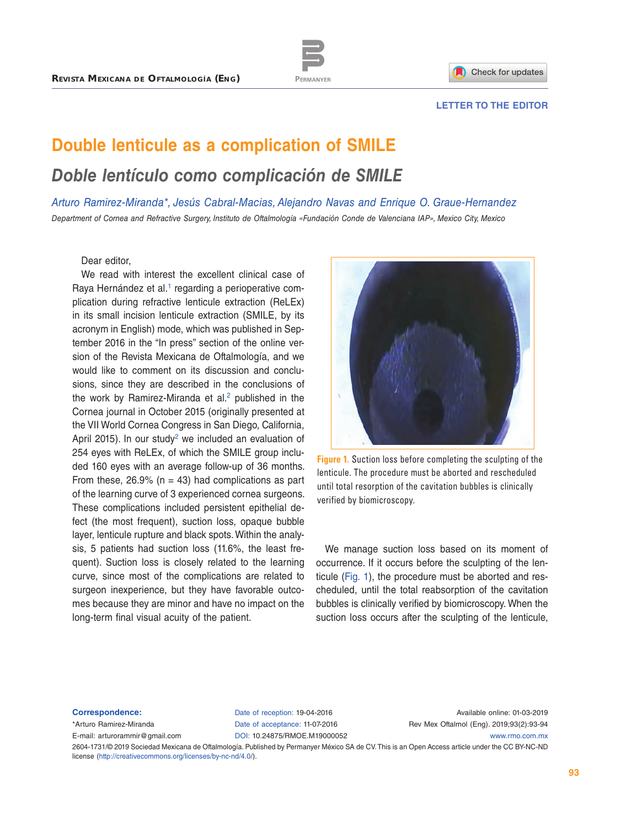

## **LETTER TO THE EDITOR**

## **Double lenticule as a complication of SMILE** *Doble lentículo como complicación de SMILE*

*Arturo Ramirez-Miranda\*, Jesús Cabral-Macias, Alejandro Navas and Enrique O. Graue-Hernandez Department of Cornea and Refractive Surgery, Instituto de Oftalmología «Fundación Conde de Valenciana IAP», Mexico City, Mexico*

Dear editor,

We read with interest the excellent clinical case of Raya Hernández et al.<sup>1</sup> regarding a perioperative complication during refractive lenticule extraction (ReLEx) in its small incision lenticule extraction (SMILE, by its acronym in English) mode, which was published in September 2016 in the "In press" section of the online version of the Revista Mexicana de Oftalmología, and we would like to comment on its discussion and conclusions, since they are described in the conclusions of the work by Ramirez-Miranda et al. $2$  published in the Cornea journal in October 2015 (originally presented at the VII World Cornea Congress in San Diego, California, April [2](#page-1-1)015). In our study<sup>2</sup> we included an evaluation of 254 eyes with ReLEx, of which the SMILE group included 160 eyes with an average follow-up of 36 months. From these,  $26.9\%$  (n = 43) had complications as part of the learning curve of 3 experienced cornea surgeons. These complications included persistent epithelial defect (the most frequent), suction loss, opaque bubble layer, lenticule rupture and black spots. Within the analysis, 5 patients had suction loss (11.6%, the least frequent). Suction loss is closely related to the learning curve, since most of the complications are related to surgeon inexperience, but they have favorable outcomes because they are minor and have no impact on the long-term final visual acuity of the patient.



**Figure 1.** Suction loss before completing the sculpting of the lenticule. The procedure must be aborted and rescheduled until total resorption of the cavitation bubbles is clinically verified by biomicroscopy.

We manage suction loss based on its moment of occurrence. If it occurs before the sculpting of the lenticule (Fig. 1), the procedure must be aborted and rescheduled, until the total reabsorption of the cavitation bubbles is clinically verified by biomicroscopy. When the suction loss occurs after the sculpting of the lenticule,

## **Correspondence:**

\*Arturo Ramirez-Miranda E-mail: [arturorammir@gmail.com](mailto:arturorammir%40gmail.com?subject=) Date of reception: 19-04-2016 Date of acceptance: 11-07-2016 DOI: [10.24875/RMOE.M19000052](http://dx.doi.org/10.24875/RMOE. M19000052)

Available online: 01-03-2019 Rev Mex Oftalmol (Eng). 2019;93(2):93-94 [www.rmo.com.mx](http://www.rmo.com.mx)

2604-1731/© 2019 Sociedad Mexicana de Oftalmología. Published by Permanyer México SA de CV. This is an Open Access article under the CC BY-NC-ND license (<http://creativecommons.org/licenses/by-nc-nd/4.0/>).